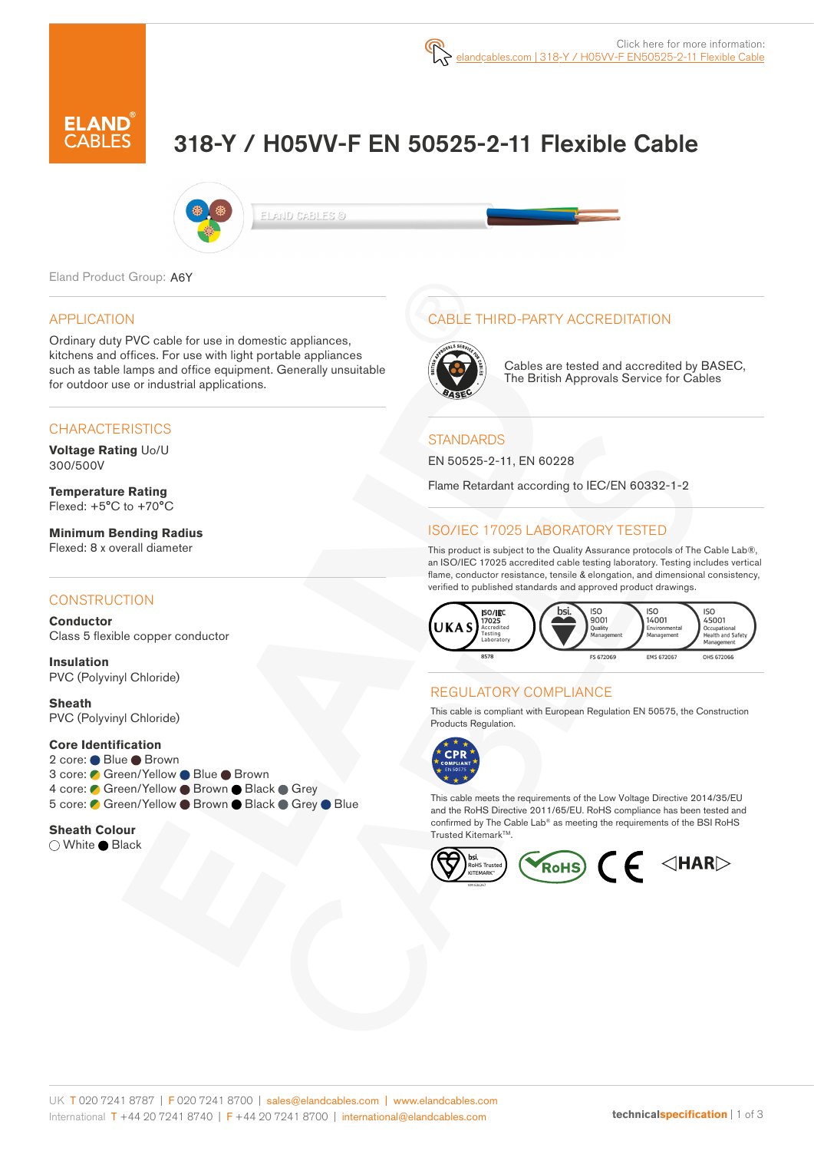# 318-Y / H05VV-F EN 50525-2-11 Flexible Cable



ELAND CABLES @

Eland Product Group: A6Y

#### APPLICATION

Ordinary duty PVC cable for use in domestic appliances, kitchens and offices. For use with light portable appliances such as table lamps and office equipment. Generally unsuitable for outdoor use or industrial applications.

#### **CHARACTERISTICS**

**Voltage Rating** Uo/U 300/500V

**Temperature Rating** Flexed: +5°C to +70°C

**Minimum Bending Radius**  Flexed: 8 x overall diameter

#### **CONSTRUCTION**

**Conductor** Class 5 flexible copper conductor

**Insulation** PVC (Polyvinyl Chloride)

**Sheath** PVC (Polyvinyl Chloride)

#### **Core Identification**

2 core: ● Blue ● Brown 3 core: ● Green/Yellow ● Blue ● Brown 4 core: Green/Yellow Brown Black Grey 5 core: C Green/Yellow ● Brown ● Black ● Grey ● Blue

#### **Sheath Colour**

○ White ● Black

# CABLE THIRD-PARTY ACCREDITATION



Cables are tested and accredited by BASEC, The British Approvals Service for Cables

#### **STANDARDS**

EN 50525-2-11, EN 60228

Flame Retardant according to IEC/EN 60332-1-2

# ISO/IEC 17025 LABORATORY TESTED

This product is subject to the Quality Assurance protocols of The Cable Lab®, an ISO/IEC 17025 accredited cable testing laboratory. Testing includes vertical flame, conductor resistance, tensile & elongation, and dimensional consistency, verified to published standards and approved product drawings.



### REGULATORY COMPLIANCE

This cable is compliant with European Regulation EN 50575, the Construction Products Regulation.



This cable meets the requirements of the Low Voltage Directive 2014/35/EU and the RoHS Directive 2011/65/EU. RoHS compliance has been tested and confirmed by The Cable Lab® as meeting the requirements of the BSI RoHS Trusted Kitemark™.

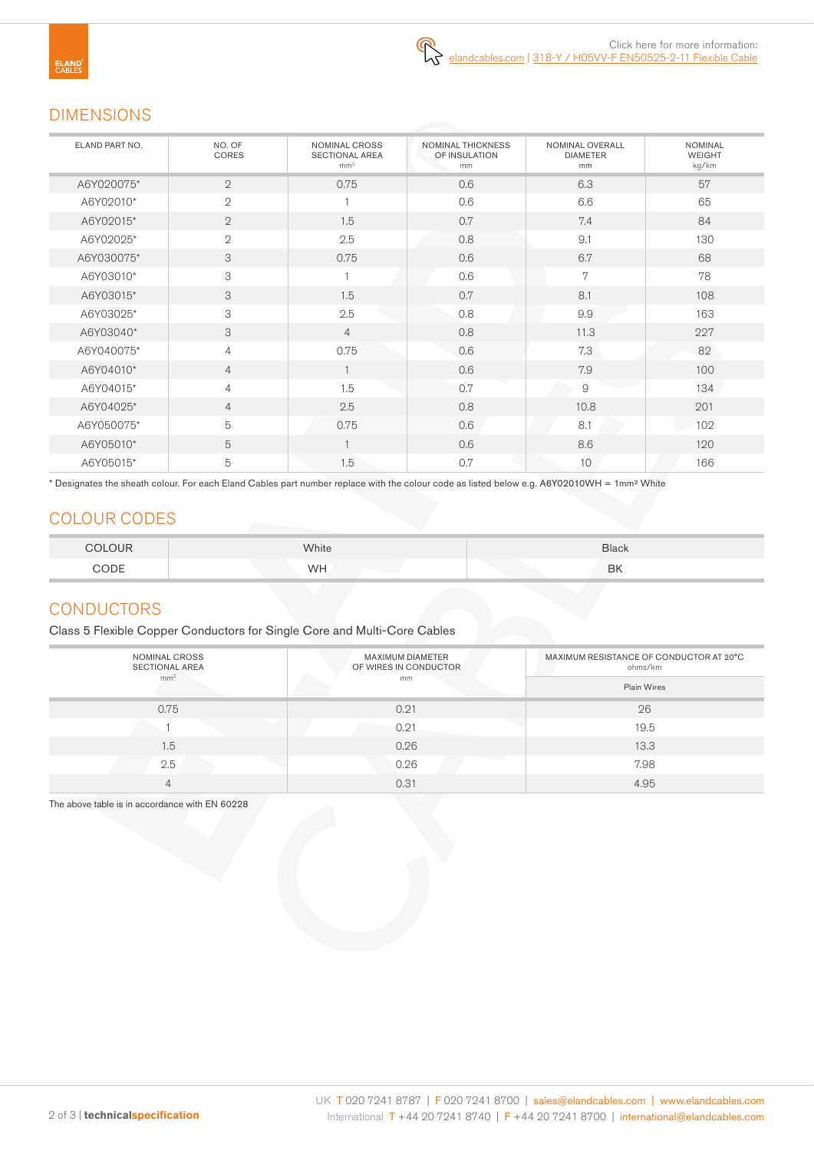# DIMENSIONS

| ELAND PART NO. | NO. OF<br>CORES | NOMINAL CROSS<br><b>SECTIONAL AREA</b><br>mm <sup>2</sup> | NOMINAL THICKNESS<br>OF INSULATION<br>mm | NOMINAL OVERALL<br><b>DIAMETER</b><br>mm | <b>NOMINAL</b><br><b>WEIGHT</b><br>kg/km |
|----------------|-----------------|-----------------------------------------------------------|------------------------------------------|------------------------------------------|------------------------------------------|
| A6Y020075*     | $\overline{2}$  | 0.75                                                      | 0.6                                      | 6.3                                      | 57                                       |
| A6Y02010*      | $\overline{2}$  |                                                           | 0.6                                      | 6.6                                      | 65                                       |
| A6Y02015*      | $\overline{2}$  | 1.5                                                       | 0.7                                      | 7.4                                      | 84                                       |
| A6Y02025*      | $\mathbf{2}$    | 2.5                                                       | 0.8                                      | 9.1                                      | 130                                      |
| A6Y030075*     | 3               | 0.75                                                      | 0.6                                      | 6.7                                      | 68                                       |
| A6Y03010*      | 3               |                                                           | 0.6                                      | 7                                        | 78                                       |
| A6Y03015*      | 3               | 1.5                                                       | 0.7                                      | 8.1                                      | 108                                      |
| A6Y03025*      | 3               | 2.5                                                       | 0.8                                      | 9.9                                      | 163                                      |
| A6Y03040*      | 3               | $\overline{4}$                                            | 0.8                                      | 11.3                                     | 227                                      |
| A6Y040075*     | $\overline{4}$  | 0.75                                                      | 0.6                                      | 7.3                                      | 82                                       |
| A6Y04010*      | $\overline{4}$  |                                                           | 0.6                                      | 7.9                                      | 100                                      |
| A6Y04015*      | $\overline{4}$  | 1.5                                                       | 0.7                                      | 9                                        | 134                                      |
| A6Y04025*      | $\overline{4}$  | 2.5                                                       | 0.8                                      | 10.8                                     | 201                                      |
| A6Y050075*     | 5               | 0.75                                                      | 0.6                                      | 8.1                                      | 102                                      |
| A6Y05010*      | 5               |                                                           | 0.6                                      | 8.6                                      | 120                                      |
| A6Y05015*      | 5               | 1.5                                                       | 0.7                                      | 10                                       | 166                                      |

\* Designates the sheath colour. For each Eland Cables part number replace with the colour code as listed below e.g. A6Y02010WH = 1mm² White

# COLOUR CODES

| COLOUR         | White | Black     |
|----------------|-------|-----------|
| $\bigcirc$ ODE | WH    | <b>BK</b> |

# **CONDUCTORS**

Class 5 Flexible Copper Conductors for Single Core and Multi-Core Cables

| NOMINAL CROSS<br><b>SECTIONAL AREA</b> | <b>MAXIMUM DIAMETER</b><br>OF WIRES IN CONDUCTOR | MAXIMUM RESISTANCE OF CONDUCTOR AT 20°C<br>ohms/km |  |
|----------------------------------------|--------------------------------------------------|----------------------------------------------------|--|
| mm <sup>2</sup>                        | mm                                               | <b>Plain Wires</b>                                 |  |
| 0.75                                   | 0.21                                             | 26                                                 |  |
|                                        | 0.21                                             | 19.5                                               |  |
| 1.5                                    | 0.26                                             | 13.3                                               |  |
| 2.5                                    | 0.26                                             | 7.98                                               |  |
| 4                                      | 0.31                                             | 4.95                                               |  |

The above table is in accordance with EN 60228